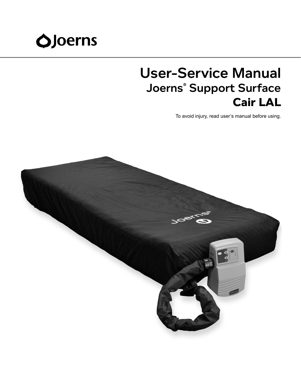# **OJoerns**

## User-Service Manual Joerns® Support Surface **Cair LAL**

To avoid injury, read user's manual before using.

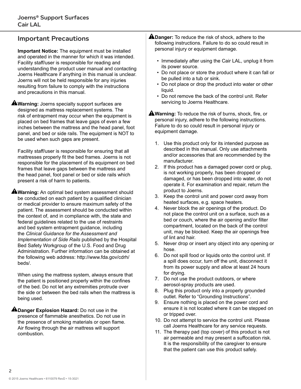## Important Precautions

**Important Notice:** The equipment must be installed and operated in the manner for which it was intended. Facility staff/user is responsible for reading and understanding the product user manual and contacting Joerns Healthcare if anything in this manual is unclear. Joerns will not be held responsible for any injuries resulting from failure to comply with the instructions and precautions in this manual.

**A**Warning: Joerns specialty support surfaces are designed as mattress replacement systems. The risk of entrapment may occur when the equipment is placed on bed frames that leave gaps of even a few inches between the mattress and the head panel, foot panel, and bed or side rails. The equipment is NOT to be used when such gaps are present.

Facility staff/user is responsible for ensuring that all mattresses properly fit the bed frames. Joerns is not responsible for the placement of its equipment on bed frames that leave gaps between the mattress and the head panel, foot panel or bed or side rails which present a risk of harm to patients.

**A**Warning: An optimal bed system assessment should be conducted on each patient by a qualified clinician or medical provider to ensure maximum safety of the patient. The assessment should be conducted within the context of, and in compliance with, the state and federal guidelines related to the use of restraints and bed system entrapment guidance, including the *Clinical Guidance for the Assessment and Implementation of Side Rails* published by the Hospital Bed Safety Workgroup of the U.S. Food and Drug Administration. Further information can be obtained at the following web address: http://www.fda.gov/cdrh/ beds/.

When using the mattress system, always ensure that the patient is positioned properly within the confines of the bed. Do not let any extremities protrude over the side or between the bed rails when the mattress is being used.

**ADanger Explosion Hazard:** Do not use in the presence of flammable anesthetics. Do not use in the presence of smoking materials or open flame. Air flowing through the air mattress will support combustion.

- **A Danger:** To reduce the risk of shock, adhere to the following instructions. Failure to do so could result in personal injury or equipment damage.
	- Immediately after using the Cair LAL, unplug it from its power source.
	- Do not place or store the product where it can fall or be pulled into a tub or sink.
	- Do not place or drop the product into water or other liquid.
	- Do not remove the back of the control unit. Refer servicing to Joerns Healthcare.

**AWarning:** To reduce the risk of burns, shock, fire, or personal injury, adhere to the following instructions. Failure to do so could result in personal injury or equipment damage.

- 1. Use this product only for its intended purpose as described in this manual. Only use attachments and/or accessories that are recommended by the manufacturer.
- 2. If this product has a damaged power cord or plug, is not working properly, has been dropped or damaged, or has been dropped into water, do not operate it. For examination and repair, return the product to Joerns.
- 3. Keep the control unit and power cord away from heated surfaces, e.g. space heaters.
- 4. Never block the air openings of the product. Do not place the control unit on a surface, such as a bed or couch, where the air opening and/or filter compartment, located on the back of the control unit, may be blocked. Keep the air openings free of lint and hair.
- 5. Never drop or insert any object into any opening or hose.
- 6. Do not spill food or liquids onto the control unit. If a spill does occur, turn off the unit, disconnect it from its power supply and allow at least 24 hours for drying.
- 7. Do not use the product outdoors, or where aerosol-spray products are used.
- 8. Plug this product only into a properly grounded outlet. Refer to "Grounding Instructions".
- 9. Ensure nothing is placed on the power cord and ensure it is not located where it can be stepped on or tripped over.
- 10. Do not attempt to service the control unit. Please call Joerns Healthcare for any service requests.
- 11. The therapy pad (top cover) of this product is not air permeable and may present a suffocation risk. It is the responsibility of the caregiver to ensure that the patient can use this product safely.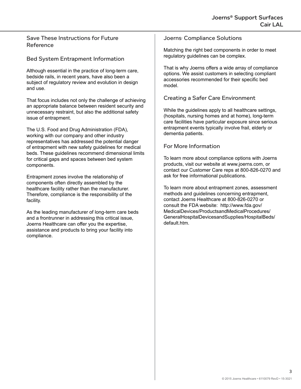Save These Instructions for Future Reference

#### Bed System Entrapment Information

Although essential in the practice of long-term care, bedside rails, in recent years, have also been a subject of regulatory review and evolution in design and use.

That focus includes not only the challenge of achieving an appropriate balance between resident security and unnecessary restraint, but also the additional safety issue of entrapment.

The U.S. Food and Drug Administration (FDA), working with our company and other industry representatives has addressed the potential danger of entrapment with new safety guidelines for medical beds. These guidelines recommend dimensional limits for critical gaps and spaces between bed system components.

Entrapment zones involve the relationship of components often directly assembled by the healthcare facility rather than the manufacturer. Therefore, compliance is the responsibility of the facility.

As the leading manufacturer of long-term care beds and a frontrunner in addressing this critical issue, Joerns Healthcare can offer you the expertise, assistance and products to bring your facility into compliance.

Joerns<sup>,</sup> Compliance Solutions

Matching the right bed components in order to meet regulatory guidelines can be complex.

That is why Joerns offers a wide array of compliance options. We assist customers in selecting compliant accessories recommended for their specific bed model.

#### Creating a Safer Care Environment

While the guidelines apply to all healthcare settings, (hospitals, nursing homes and at home), long-term care facilities have particular exposure since serious entrapment events typically involve frail, elderly or dementia patients.

#### For More Information

To learn more about compliance options with Joerns products, visit our website at www.joerns.com, or contact our Customer Care reps at 800-826-0270 and ask for free informational publications.

To learn more about entrapment zones, assessment methods and guidelines concerning entrapment, contact Joerns Healthcare at 800-826-0270 or consult the FDA website: http://www.fda.gov/ MedicalDevices/ProductsandMedicalProcedures/ GeneralHospitalDevicesandSupplies/HospitalBeds/ default.htm.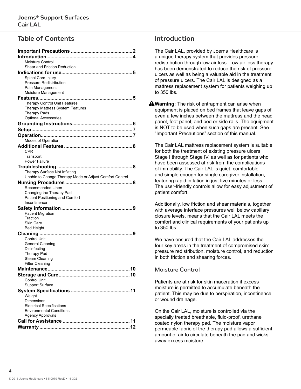## Table of Contents

| Moisture Control                                                                         |
|------------------------------------------------------------------------------------------|
| Shear and Friction Reduction                                                             |
| Spinal Cord Injury                                                                       |
| <b>Pressure Redistribution</b>                                                           |
| Pain Management                                                                          |
| Moisture Management                                                                      |
|                                                                                          |
| Therapy Control Unit Features                                                            |
| Therapy Mattress System Features                                                         |
| <b>Therapy Pads</b>                                                                      |
| <b>Optional Accessories</b>                                                              |
|                                                                                          |
|                                                                                          |
|                                                                                          |
| Modes of Operation                                                                       |
|                                                                                          |
| CPR                                                                                      |
| Transport                                                                                |
| Power Failure                                                                            |
|                                                                                          |
| Therapy Surface Not Inflating<br>Unable to Change Therapy Mode or Adjust Comfort Control |
|                                                                                          |
| Recommended Linen                                                                        |
| Changing the Therapy Pad                                                                 |
| Patient Positioning and Comfort                                                          |
| Incontinence                                                                             |
|                                                                                          |
| <b>Patient Migration</b>                                                                 |
| Traction                                                                                 |
| <b>Skin Care</b>                                                                         |
| <b>Bed Height</b>                                                                        |
| 9                                                                                        |
| <b>Control Unit</b><br><b>General Cleaning</b>                                           |
| Disinfecting                                                                             |
| <b>Therapy Pad</b>                                                                       |
| <b>Steam Cleaning</b>                                                                    |
| <b>Filter Cleaning</b>                                                                   |
|                                                                                          |
|                                                                                          |
| <b>Control Unit</b>                                                                      |
| <b>Support Surface</b>                                                                   |
|                                                                                          |
| Weight                                                                                   |
| Dimensions                                                                               |
| <b>Electrical Specifications</b><br><b>Environmental Conditions</b>                      |
| <b>Agency Approvals</b>                                                                  |
|                                                                                          |
|                                                                                          |
|                                                                                          |

## **Introduction**

The Cair LAL, provided by Joerns Healthcare is a unique therapy system that provides pressure redistribution through low air loss. Low air loss therapy has been demonstrated to reduce the risk of pressure ulcers as well as being a valuable aid in the treatment of pressure ulcers. The Cair LAL is designed as a mattress replacement system for patients weighing up to 350 lbs.

**AWarning:** The risk of entrapment can arise when equipment is placed on bed frames that leave gaps of even a few inches between the mattress and the head panel, foot panel, and bed or side rails. The equipment is NOT to be used when such gaps are present. See "Important Precautions" section of this manual.

The Cair LAL mattress replacement system is suitable for both the treatment of existing pressure ulcers Stage I through Stage IV, as well as for patients who have been assessed at risk from the complications of immobility. The Cair LAL is quiet, comfortable and simple enough for single caregiver installation, featuring rapid inflation in just five minutes or less. The user-friendly controls allow for easy adjustment of patient comfort.

Additionally, low friction and shear materials, together with average interface pressures well below capillary closure levels, means that the Cair LAL meets the comfort and clinical requirements of your patients up to 350 lbs.

We have ensured that the Cair LAL addresses the four key areas in the treatment of compromised skin: pressure redistribution, moisture control, and reduction in both friction and shearing forces.

#### Moisture Control

Patients are at risk for skin maceration if excess moisture is permitted to accumulate beneath the patient. This may be due to perspiration, incontinence or wound drainage.

On the Cair LAL, moisture is controlled via the specially treated breathable, fluid-proof, urethane coated nylon therapy pad. The moisture vapor permeable fabric of the therapy pad allows a sufficient amount of air to circulate beneath the pad and wicks away excess moisture.

4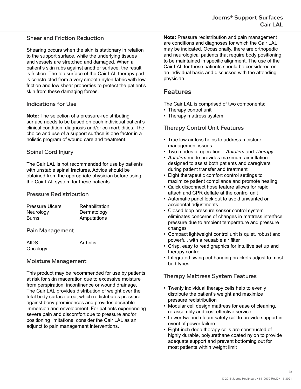#### Shear and Friction Reduction

Shearing occurs when the skin is stationary in relation to the support surface, while the underlying tissues and vessels are stretched and damaged. When a patient's skin rubs against another surface, the result is friction. The top surface of the Cair LAL therapy pad is constructed from a very smooth nylon fabric with low friction and low shear properties to protect the patient's skin from these damaging forces.

#### Indications for Use

**Note:** The selection of a pressure-redistributing surface needs to be based on each individual patient's clinical condition, diagnosis and/or co-morbidities. The choice and use of a support surface is one factor in a holistic program of wound care and treatment.

#### Spinal Cord Injury

The Cair LAL is not recommended for use by patients with unstable spinal fractures. Advice should be obtained from the appropriate physician before using the Cair LAL system for these patients.

#### Pressure Redistribution

| <b>Pressure Ulcers</b> | Rehabilitation |
|------------------------|----------------|
| Neurology              | Dermatology    |
| <b>Burns</b>           | Amputations    |

Pain Management

AIDS Arthritis **Oncology** 

#### Moisture Management

This product may be recommended for use by patients at risk for skin maceration due to excessive moisture from perspiration, incontinence or wound drainage. The Cair LAL provides distribution of weight over the total body surface area, which redistributes pressure against bony prominences and provides desirable immersion and envelopment. For patients experiencing severe pain and discomfort due to pressure and/or positioning limitations, consider the Cair LAL as an adjunct to pain management interventions.

**Note:** Pressure redistribution and pain management are conditions and diagnoses for which the Cair LAL may be indicated. Occasionally, there are orthopedic and neurological patients that require body positioning to be maintained in specific alignment. The use of the Cair LAL for these patients should be considered on an individual basis and discussed with the attending physician.

#### Features

The Cair LAL is comprised of two components:

- Therapy control unit
- Therapy mattress system

#### Therapy Control Unit Features

- True low air loss helps to address moisture management issues
- Two modes of operation *Autofirm* and *Therapy*
- *• Autofirm* mode provides maximum air inflation designed to assist both patients and caregivers during patient transfer and treatment
- Eight therapeutic comfort control settings to maximize patient compliance and promote healing
- Quick disconnect hose feature allows for rapid attach and CPR deflate at the control unit
- Automatic panel lock out to avoid unwanted or accidental adjustments
- Closed loop pressure sensor control system eliminates concerns of changes in mattress interface pressure due to ambient temperature and pressure changes
- Compact lightweight control unit is quiet, robust and powerful, with a reusable air filter
- Crisp, easy to read graphics for intuitive set up and therapy control
- Integrated swing out hanging brackets adjust to most bed types

#### Therapy Mattress System Features

- Twenty individual therapy cells help to evenly distribute the patient's weight and maximize pressure redistribution
- Modular cell design mattress for ease of cleaning, re-assembly and cost effective service
- Lower two-inch foam safety cell to provide support in event of power failure
- Eight-inch deep therapy cells are constructed of highly durable, polyurethane coated nylon to provide adequate support and prevent bottoming out for most patients within weight limit

5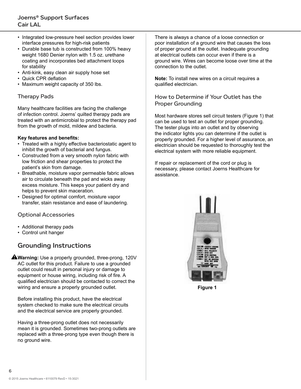- Integrated low-pressure heel section provides lower interface pressures for high-risk patients
- Durable base tub is constructed from 100% heavy weight 1680 Denier nylon with 1.5 oz. urethane coating and incorporates bed attachment loops for stability
- Anti-kink, easy clean air supply hose set
- Quick CPR deflation
- Maximum weight capacity of 350 lbs.

#### Therapy Pads

Many healthcare facilities are facing the challenge of infection control. Joerns' quilted therapy pads are treated with an antimicrobial to protect the therapy pad from the growth of mold, mildew and bacteria.

#### **Key features and benefits:**

- Treated with a highly effective bacteriostatic agent to inhibit the growth of bacterial and fungus.
- Constructed from a very smooth nylon fabric with low friction and shear properties to protect the patient's skin from damage.
- Breathable, moisture vapor permeable fabric allows air to circulate beneath the pad and wicks away excess moisture. This keeps your patient dry and helps to prevent skin maceration.
- Designed for optimal comfort, moisture vapor transfer, stain resistance and ease of laundering.

#### Optional Accessories

- Additional therapy pads
- Control unit hanger

## Grounding Instructions

**Warning:** Use a properly grounded, three-prong, 120V AC outlet for this product. Failure to use a grounded outlet could result in personal injury or damage to equipment or house wiring, including risk of fire. A qualified electrician should be contacted to correct the wiring and ensure a properly grounded outlet.

Before installing this product, have the electrical system checked to make sure the electrical circuits and the electrical service are properly grounded.

Having a three-prong outlet does not necessarily mean it is grounded. Sometimes two-prong outlets are replaced with a three-prong type even though there is no ground wire.

There is always a chance of a loose connection or poor installation of a ground wire that causes the loss of proper ground at the outlet. Inadequate grounding at electrical outlets can occur even if there is a ground wire. Wires can become loose over time at the connection to the outlet.

**Note:** To install new wires on a circuit requires a qualified electrician.

How to Determine if Your Outlet has the Proper Grounding

Most hardware stores sell circuit testers (Figure 1) that can be used to test an outlet for proper grounding. The tester plugs into an outlet and by observing the indicator lights you can determine if the outlet is properly grounded. For a higher level of assurance, an electrician should be requested to thoroughly test the electrical system with more reliable equipment.

If repair or replacement of the cord or plug is necessary, please contact Joerns Healthcare for assistance.



**Figure 1**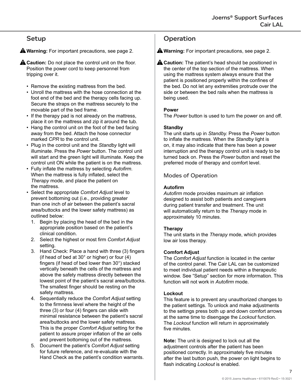## Setup

**Warning:** For important precautions, see page 2.

**A Caution:** Do not place the control unit on the floor. Position the power cord to keep personnel from tripping over it.

- Remove the existing mattress from the bed.
- Unroll the mattress with the hose connection at the foot end of the bed and the therapy cells facing up. Secure the straps on the mattress securely to the movable part of the bed frame.
- If the therapy pad is not already on the mattress, place it on the mattress and zip it around the tub.
- Hang the control unit on the foot of the bed facing away from the bed. Attach the hose connector marked *CPR* to the control unit.
- Plug in the control unit and the *Standby* light will illuminate. Press the *Power* button. The control unit will start and the green light will illuminate. Keep the control unit ON while the patient is on the mattress.
- Fully inflate the mattress by selecting *Autofirm*. When the mattress is fully inflated, select the *Therapy* mode, and place the patient on the mattress.
- Select the appropriate *Comfort Adjust* level to prevent bottoming out (i.e., providing greater than one inch of air between the patient's sacral area/buttocks and the lower safety mattress) as outlined below:
	- 1. Begin by placing the head of the bed in the appropriate position based on the patient's clinical condition.
	- 2. Select the highest or most firm *Comfort Adjust* setting.
	- 3. Hand Check: Place a hand with three (3) fingers (if head of bed at 30° or higher) or four (4) fingers (if head of bed lower than 30°) stacked vertically beneath the cells of the mattress and above the safety mattress directly between the lowest point of the patient's sacral area/buttocks. The smallest finger should be resting on the safety mattress.
	- 4. Sequentially reduce the *Comfort Adjust* setting to the firmness level where the height of the three (3) or four (4) fingers can slide with minimal resistance between the patient's sacral area/buttocks and the lower safety mattress. This is the proper *Comfort Adjust* setting for the patient to assure proper inflation of the air cells and prevent bottoming out of the mattress.
	- 5. Document the patient's *Comfort Adjust* setting for future reference, and re-evaluate with the Hand Check as the patient's condition warrants.

## **Operation**

**Warning:** For important precautions, see page 2.

**A Caution:** The patient's head should be positioned in the center of the top section of the mattress. When using the mattress system always ensure that the patient is positioned properly within the confines of the bed. Do not let any extremities protrude over the side or between the bed rails when the mattress is being used.

#### **Power**

The *Power* button is used to turn the power on and off.

#### **Standby**

The unit starts up in *Standby.* Press the *Power* button to inflate the mattress. When the *Standby* light is on, it may also indicate that there has been a power interruption and the therapy control unit is ready to be turned back on. Press the *Power* button and reset the preferred mode of therapy and comfort level.

Modes of Operation

#### **Autofirm**

*Autofirm* mode provides maximum air inflation designed to assist both patients and caregivers during patient transfer and treatment. The unit will automatically return to the *Therapy* mode in approximately 10 minutes.

#### **Therapy**

The unit starts in the *Therapy* mode, which provides low air loss therapy.

#### **Comfort Adjust**

The *Comfort Adjust* function is located in the center of the control panel. The Cair LAL can be customized to meet individual patient needs within a therapeutic window. See "Setup" section for more information. This function will not work in *Autofirm* mode.

#### **Lockout**

This feature is to prevent any unauthorized changes to the patient settings. To unlock and make adjustments to the settings press both up and down comfort arrows at the same time to disengage the *Lockout* function. The *Lockout* function will return in approximately five minutes.

**Note:** The unit is designed to lock out all the adjustment controls after the patient has been positioned correctly. In approximately five minutes after the last button push, the power on light begins to flash indicating *Lockout* is enabled.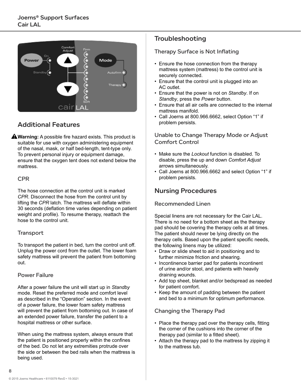

## Additional Features

**Warning:** A possible fire hazard exists. This product is suitable for use with oxygen administering equipment of the nasal, mask, or half bed-length, tent-type only. To prevent personal injury or equipment damage, ensure that the oxygen tent does not extend below the mattress.

#### CPR

The hose connection at the control unit is marked *CPR*. Disconnect the hose from the control unit by lifting the *CPR* latch. The mattress will deflate within 30 seconds (deflation time varies depending on patient weight and profile). To resume therapy, reattach the hose to the control unit.

#### **Transport**

To transport the patient in bed, turn the control unit off. Unplug the power cord from the outlet. The lower foam safety mattress will prevent the patient from bottoming out.

#### Power Failure

After a power failure the unit will start up in *Standby* mode. Reset the preferred mode and comfort level as described in the "Operation" section. In the event of a power failure, the lower foam safety mattress will prevent the patient from bottoming out. In case of an extended power failure, transfer the patient to a hospital mattress or other surface.

When using the mattress system, always ensure that the patient is positioned properly within the confines of the bed. Do not let any extremities protrude over the side or between the bed rails when the mattress is being used.

## **Troubleshooting**

Therapy Surface is Not Inflating

- Ensure the hose connection from the therapy mattress system (mattress) to the control unit is securely connected.
- Ensure that the control unit is plugged into an AC outlet.
- Ensure that the power is not on *Standby*. If on *Standby*, press the *Power* button.
- Ensure that all air cells are connected to the internal mattress manifold.
- Call Joerns at 800.966.6662, select Option "1" if problem persists.

Unable to Change Therapy Mode or Adjust Comfort Control

- Make sure the *Lockout* function is disabled. To disable, press the up and down *Comfort Adjust*  arrows simultaneously.
- Call Joerns at 800.966.6662 and select Option "1" if problem persists.

## Nursing Procedures

#### Recommended Linen

Special linens are not necessary for the Cair LAL. There is no need for a bottom sheet as the therapy pad should be covering the therapy cells at all times. The patient should never be lying directly on the therapy cells. Based upon the patient specific needs, the following linens may be utilized:

- Draw or slide sheet to aid in positioning and to further minimize friction and shearing.
- Incontinence barrier pad for patients incontinent of urine and/or stool, and patients with heavily draining wounds.
- Add top sheet, blanket and/or bedspread as needed for patient comfort.
- Keep the amount of padding between the patient and bed to a minimum for optimum performance.

#### Changing the Therapy Pad

- Place the therapy pad over the therapy cells, fitting the corner of the cushions into the corner of the therapy pad (similar to a fitted sheet).
- Attach the therapy pad to the mattress by zipping it to the mattress tub.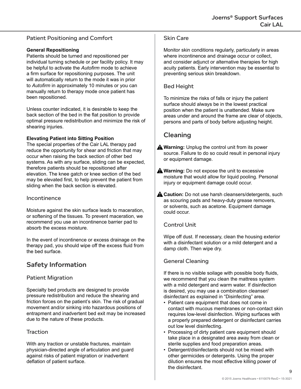#### Patient Positioning and Comfort

#### **General Repositioning**

Patients should be turned and repositioned per individual turning schedule or per facility policy. It may be helpful to activate the *Autofirm* mode to achieve a firm surface for repositioning purposes. The unit will automatically return to the mode it was in prior to *Autofirm* in approximately 10 minutes or you can manually return to therapy mode once patient has been repositioned.

Unless counter indicated, it is desirable to keep the back section of the bed in the flat position to provide optimal pressure redistribution and minimize the risk of shearing injuries.

#### **Elevating Patient into Sitting Position**

The special properties of the Cair LAL therapy pad reduce the opportunity for shear and friction that may occur when raising the back section of other bed systems. As with any surface, sliding can be expected, therefore patients should be repositioned after elevation. The knee gatch or knee section of the bed may be elevated first, to help prevent the patient from sliding when the back section is elevated.

#### Incontinence

Moisture against the skin surface leads to maceration, or softening of the tissues. To prevent maceration, we recommend you use an incontinence barrier pad to absorb the excess moisture.

In the event of incontinence or excess drainage on the therapy pad, you should wipe off the excess fluid from the bed surface.

## Safety Information

#### Patient Migration

Specialty bed products are designed to provide pressure redistribution and reduce the shearing and friction forces on the patient's skin. The risk of gradual movement and/or sinking into hazardous positions of entrapment and inadvertent bed exit may be increased due to the nature of these products.

#### **Traction**

With any traction or unstable fractures, maintain physician-directed angle of articulation and guard against risks of patient migration or inadvertent deflation of patient surface.

#### Skin Care

Monitor skin conditions regularly, particularly in areas where incontinence and drainage occur or collect, and consider adjunct or alternative therapies for high acuity patients. Early intervention may be essential to preventing serious skin breakdown.

#### Bed Height

To minimize the risks of falls or injury the patient surface should always be in the lowest practical position when the patient is unattended. Make sure areas under and around the frame are clear of objects, persons and parts of body before adjusting height.

## Cleaning

- **Warning:** Unplug the control unit from its power source. Failure to do so could result in personal injury or equipment damage.
- **Warning:** Do not expose the unit to excessive moisture that would allow for liquid pooling. Personal injury or equipment damage could occur.
- **A Caution:** Do not use harsh cleansers/detergents, such as scouring pads and heavy-duty grease removers, or solvents, such as acetone. Equipment damage could occur.

#### Control Unit

Wipe off dust. If necessary, clean the housing exterior with a disinfectant solution or a mild detergent and a damp cloth. Then wipe dry.

#### General Cleaning

If there is no visible soilage with possible body fluids, we recommend that you clean the mattress system with a mild detergent and warm water. If disinfection is desired, you may use a combination cleanser/ disinfectant as explained in "Disinfecting" area.

- Patient care equipment that does not come in contact with mucous membranes or non-contact skin requires low-level disinfection. Wiping surfaces with a properly prepared detergent or disinfectant carries out low level disinfecting.
- Processing of dirty patient care equipment should take place in a designated area away from clean or sterile supplies and food preparation areas.
- Detergent/disinfectants should not be mixed with other germicides or detergents. Using the proper dilution ensures the most effective killing power of the disinfectant.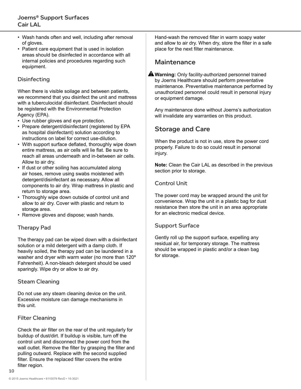- Wash hands often and well, including after removal of gloves.
- Patient care equipment that is used in isolation areas should be disinfected in accordance with all internal policies and procedures regarding such equipment.

#### **Disinfecting**

When there is visible soilage and between patients, we recommend that you disinfect the unit and mattress with a tuberculocidal disinfectant. Disinfectant should be registered with the Environmental Protection Agency (EPA).

- Use rubber gloves and eye protection.
- Prepare detergent/disinfectant (registered by EPA as hospital disinfectant) solution according to instructions on label for correct use-dilution.
- With support surface deflated, thoroughly wipe down entire mattress, as air cells will lie flat. Be sure to reach all areas underneath and in-between air cells. Allow to air dry.
- If dust or other soiling has accumulated along air hoses, remove using swabs moistened with detergent/disinfectant as necessary. Allow all components to air dry. Wrap mattress in plastic and return to storage area.
- Thoroughly wipe down outside of control unit and allow to air dry. Cover with plastic and return to storage area.
- Remove gloves and dispose; wash hands.

#### Therapy Pad

The therapy pad can be wiped down with a disinfectant solution or a mild detergent with a damp cloth. If heavily soiled, the therapy pad can be laundered in a washer and dryer with warm water (no more than 120º Fahrenheit). A non-bleach detergent should be used sparingly. Wipe dry or allow to air dry.

#### Steam Cleaning

Do not use any steam cleaning device on the unit. Excessive moisture can damage mechanisms in this unit.

#### Filter Cleaning

Check the air filter on the rear of the unit regularly for buildup of dust/dirt. If buildup is visible, turn off the control unit and disconnect the power cord from the wall outlet. Remove the filter by grasping the filter and pulling outward. Replace with the second supplied filter. Ensure the replaced filter covers the entire filter region.

Hand-wash the removed filter in warm soapy water and allow to air dry. When dry, store the filter in a safe place for the next filter maintenance.

#### **Maintenance**

**Warning:** Only facility-authorized personnel trained by Joerns Healthcare should perform preventative maintenance. Preventative maintenance performed by unauthorized personnel could result in personal injury or equipment damage.

Any maintenance done without Joerns's authorization will invalidate any warranties on this product.

## Storage and Care

When the product is not in use, store the power cord properly. Failure to do so could result in personal injury.

**Note:** Clean the Cair LAL as described in the previous section prior to storage.

#### Control Unit

The power cord may be wrapped around the unit for convenience. Wrap the unit in a plastic bag for dust resistance then store the unit in an area appropriate for an electronic medical device.

#### Support Surface

Gently roll up the support surface, expelling any residual air, for temporary storage. The mattress should be wrapped in plastic and/or a clean bag for storage.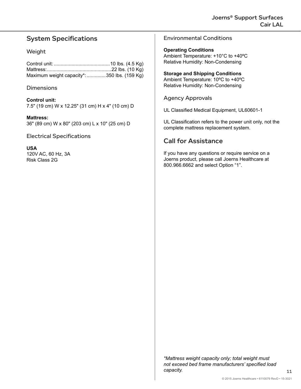## System Specifications

#### Weight

Control unit: .........................................10 lbs. (4.5 Kg) Mattress:...............................................22 lbs. (10 Kg) Maximum weight capacity\*:..............350 lbs. (159 Kg)

#### **Dimensions**

**Control unit:** 7.5" (19 cm) W x 12.25" (31 cm) H x 4" (10 cm) D

**Mattress:**

36" (89 cm) W x 80" (203 cm) L x 10" (25 cm) D

Electrical Specifications

#### **USA**

120V AC, 60 Hz, 3A Risk Class 2G

Environmental Conditions

**Operating Conditions** Ambient Temperature: +10°C to +40ºC Relative Humidity: Non-Condensing

**Storage and Shipping Conditions** Ambient Temperature: 10ºC to +40ºC Relative Humidity: Non-Condensing

Agency Approvals

UL Classified Medical Equipment, UL60601-1

UL Classification refers to the power unit only, not the complete mattress replacement system.

## Call for Assistance

If you have any questions or require service on a Joerns product, please call Joerns Healthcare at 800.966.6662 and select Option "1".

*\*Mattress weight capacity only; total weight must not exceed bed frame manufacturers' specified load capacity.*